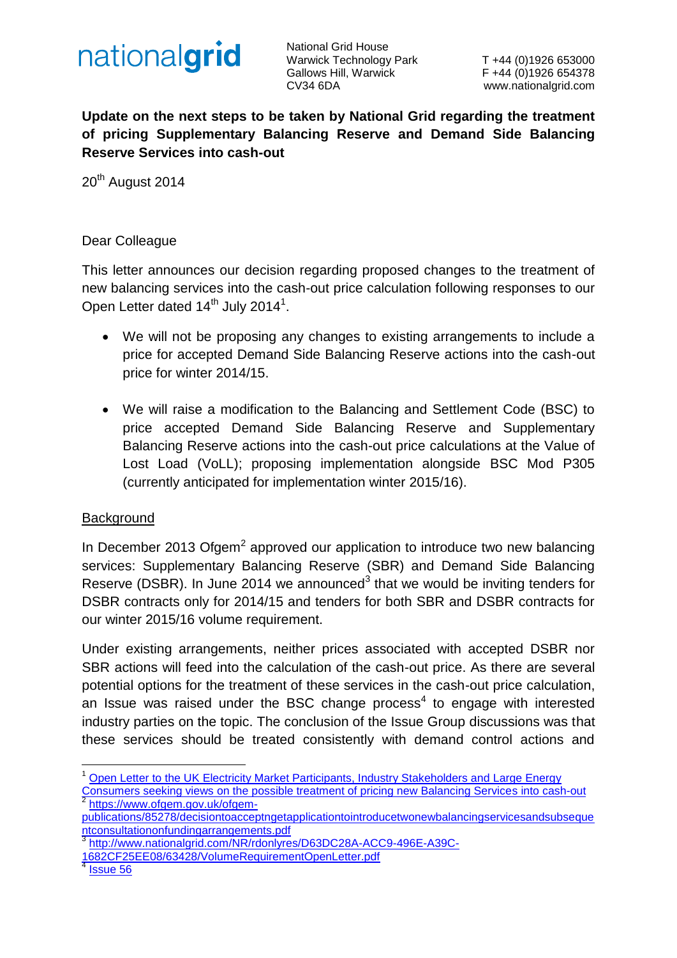

National Grid House Warwick Technology Park T +44 (0)1926 653000 Gallows Hill, Warwick F +44 (0)1926 654378 CV34 6DA www.nationalgrid.com

**Update on the next steps to be taken by National Grid regarding the treatment of pricing Supplementary Balancing Reserve and Demand Side Balancing Reserve Services into cash-out**

20<sup>th</sup> August 2014

### Dear Colleague

This letter announces our decision regarding proposed changes to the treatment of new balancing services into the cash-out price calculation following responses to our Open Letter dated  $14<sup>th</sup>$  July 2014<sup>1</sup>.

- We will not be proposing any changes to existing arrangements to include a price for accepted Demand Side Balancing Reserve actions into the cash-out price for winter 2014/15.
- We will raise a modification to the Balancing and Settlement Code (BSC) to price accepted Demand Side Balancing Reserve and Supplementary Balancing Reserve actions into the cash-out price calculations at the Value of Lost Load (VoLL); proposing implementation alongside BSC Mod P305 (currently anticipated for implementation winter 2015/16).

#### **Background**

In December 2013 Ofgem<sup>2</sup> approved our application to introduce two new balancing services: Supplementary Balancing Reserve (SBR) and Demand Side Balancing Reserve (DSBR). In June 2014 we announced<sup>3</sup> that we would be inviting tenders for DSBR contracts only for 2014/15 and tenders for both SBR and DSBR contracts for our winter 2015/16 volume requirement.

Under existing arrangements, neither prices associated with accepted DSBR nor SBR actions will feed into the calculation of the cash-out price. As there are several potential options for the treatment of these services in the cash-out price calculation, an Issue was raised under the BSC change process<sup>4</sup> to engage with interested industry parties on the topic. The conclusion of the Issue Group discussions was that these services should be treated consistently with demand control actions and

<sup>1</sup> Open Letter to the UK Electricity Market Participants, Industry Stakeholders and Large Energy [Consumers seeking views on the possible treatment of pricing new Balancing Services into cash-out](http://www2.nationalgrid.com/WorkArea/DownloadAsset.aspx?id=34385) 2 [https://www.ofgem.gov.uk/ofgem-](https://www.ofgem.gov.uk/ofgem-publications/85278/decisiontoacceptngetapplicationtointroducetwonewbalancingservicesandsubsequentconsultationonfundingarrangements.pdf)

[publications/85278/decisiontoacceptngetapplicationtointroducetwonewbalancingservicesandsubseque](https://www.ofgem.gov.uk/ofgem-publications/85278/decisiontoacceptngetapplicationtointroducetwonewbalancingservicesandsubsequentconsultationonfundingarrangements.pdf) [ntconsultationonfundingarrangements.pdf](https://www.ofgem.gov.uk/ofgem-publications/85278/decisiontoacceptngetapplicationtointroducetwonewbalancingservicesandsubsequentconsultationonfundingarrangements.pdf)

<sup>3</sup> [http://www.nationalgrid.com/NR/rdonlyres/D63DC28A-ACC9-496E-A39C-](http://www.nationalgrid.com/NR/rdonlyres/D63DC28A-ACC9-496E-A39C-1682CF25EE08/63428/VolumeRequirementOpenLetter.pdf)

[<sup>1682</sup>CF25EE08/63428/VolumeRequirementOpenLetter.pdf](http://www.nationalgrid.com/NR/rdonlyres/D63DC28A-ACC9-496E-A39C-1682CF25EE08/63428/VolumeRequirementOpenLetter.pdf)

<sup>4</sup> [Issue 56](http://www.elexon.co.uk/smg-issue/issue-56/)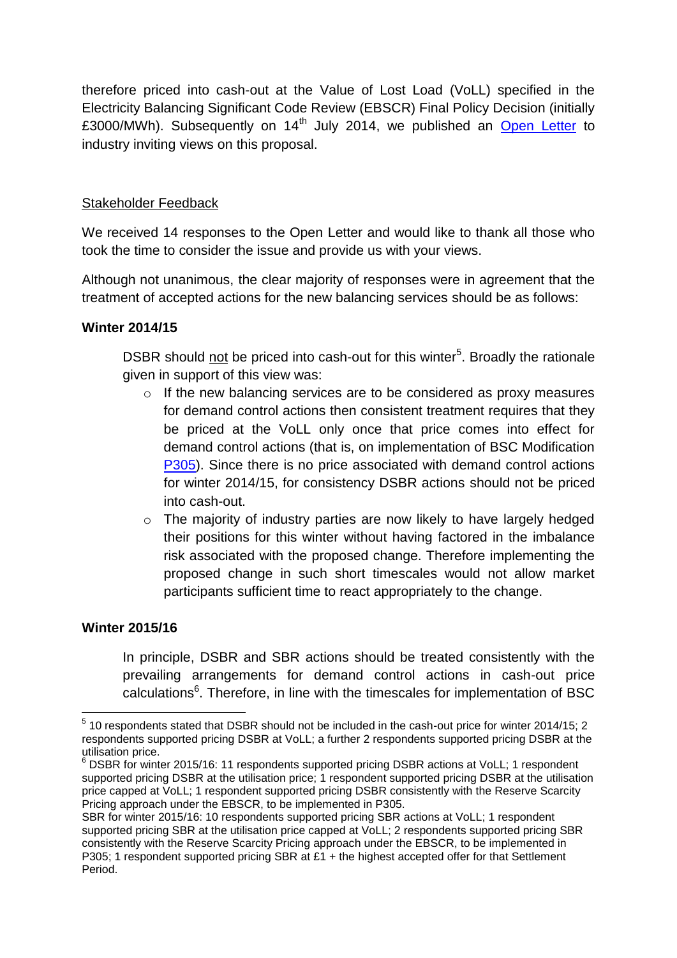therefore priced into cash-out at the Value of Lost Load (VoLL) specified in the Electricity Balancing Significant Code Review (EBSCR) Final Policy Decision (initially £3000/MWh). Subsequently on  $14<sup>th</sup>$  July 2014, we published an [Open Letter](http://www2.nationalgrid.com/WorkArea/DownloadAsset.aspx?id=34385) to industry inviting views on this proposal.

# Stakeholder Feedback

We received 14 responses to the Open Letter and would like to thank all those who took the time to consider the issue and provide us with your views.

Although not unanimous, the clear majority of responses were in agreement that the treatment of accepted actions for the new balancing services should be as follows:

## **Winter 2014/15**

DSBR should not be priced into cash-out for this winter<sup>5</sup>. Broadly the rationale given in support of this view was:

- o If the new balancing services are to be considered as proxy measures for demand control actions then consistent treatment requires that they be priced at the VoLL only once that price comes into effect for demand control actions (that is, on implementation of BSC Modification [P305\)](http://www.elexon.co.uk/mod-proposal/p305/). Since there is no price associated with demand control actions for winter 2014/15, for consistency DSBR actions should not be priced into cash-out.
- o The majority of industry parties are now likely to have largely hedged their positions for this winter without having factored in the imbalance risk associated with the proposed change. Therefore implementing the proposed change in such short timescales would not allow market participants sufficient time to react appropriately to the change.

## **Winter 2015/16**

In principle, DSBR and SBR actions should be treated consistently with the prevailing arrangements for demand control actions in cash-out price calculations<sup>6</sup>. Therefore, in line with the timescales for implementation of BSC

<sup>&</sup>lt;u>.</u>  $<sup>5</sup>$  10 respondents stated that DSBR should not be included in the cash-out price for winter 2014/15; 2</sup> respondents supported pricing DSBR at VoLL; a further 2 respondents supported pricing DSBR at the utilisation price.

 $6$  DSBR for winter 2015/16: 11 respondents supported pricing DSBR actions at VoLL; 1 respondent supported pricing DSBR at the utilisation price; 1 respondent supported pricing DSBR at the utilisation price capped at VoLL; 1 respondent supported pricing DSBR consistently with the Reserve Scarcity Pricing approach under the EBSCR, to be implemented in P305.

SBR for winter 2015/16: 10 respondents supported pricing SBR actions at VoLL; 1 respondent supported pricing SBR at the utilisation price capped at VoLL; 2 respondents supported pricing SBR consistently with the Reserve Scarcity Pricing approach under the EBSCR, to be implemented in P305; 1 respondent supported pricing SBR at  $£1 +$  the highest accepted offer for that Settlement Period.